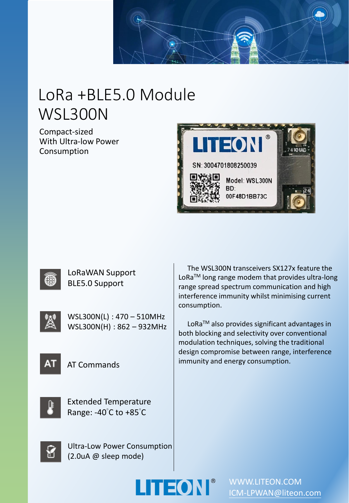

# LoRa +BLE5.0 Module WSL300N

Compact-sized With Ultra-low Power Consumption





LoRaWAN Support BLE5.0 Support



WSL300N(L) : 470 – 510MHz WSL300N(H) : 862 – 932MHz



AT Commands



Extended Temperature Range: -40°C to +85°C

Ultra-Low Power Consumption (2.0uA @ sleep mode)

The WSL300N transceivers SX127x feature the LoRa<sup>™</sup> long range modem that provides ultra-long range spread spectrum communication and high interference immunity whilst minimising current consumption.

LoRa<sup>™</sup> also provides significant advantages in both blocking and selectivity over conventional modulation techniques, solving the traditional design compromise between range, interference immunity and energy consumption.





WWW.LITEON.COM [ICM-LPWAN@liteon.com](mailto:ICM-LPWAN@liteon.com)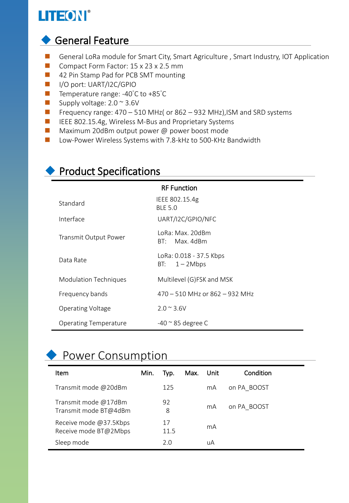## LITEON®

### ◆ General Feature

- General LoRa module for Smart City, Smart Agriculture, Smart Industry, IOT Application
- Compact Form Factor: 15 x 23 x 2.5 mm
- 42 Pin Stamp Pad for PCB SMT mounting
- I/O port: UART/I2C/GPIO
- Temperature range: -40°C to +85°C
- $\blacksquare$  Supply voltage: 2.0  $\sim$  3.6V
- Frequency range: 470 510 MHz( or 862 932 MHz), ISM and SRD systems
- IEEE 802.15.4g, Wireless M-Bus and Proprietary Systems
- Maximum 20dBm output power @ power boost mode
- Low-Power Wireless Systems with 7.8-kHz to 500-KHz Bandwidth

| <b>RF Function</b>           |                                               |  |  |  |  |
|------------------------------|-----------------------------------------------|--|--|--|--|
| Standard                     | IEEE 802.15.4g<br><b>BLE 5.0</b>              |  |  |  |  |
| Interface                    | UART/I2C/GPIO/NFC                             |  |  |  |  |
| Transmit Output Power        | ToRa: Max. 20dBm<br>$RT:$ Max. 4dBm           |  |  |  |  |
| Data Rate                    | LoRa: 0.018 - 37.5 Kbps<br>$1 - 2Mbps$<br>BT: |  |  |  |  |
| <b>Modulation Techniques</b> | Multilevel (G)FSK and MSK                     |  |  |  |  |
| Frequency bands              | $470 - 510$ MHz or 862 - 932 MHz              |  |  |  |  |
| <b>Operating Voltage</b>     | $2.0 \times 3.6 V$                            |  |  |  |  |
| <b>Operating Temperature</b> | $-40$ $\approx$ 85 degree C                   |  |  |  |  |

#### ◆ Product Specifications

### ◆ Power Consumption

| ltem                                            | Min. | Typ.       | Max. | Unit | Condition   |
|-------------------------------------------------|------|------------|------|------|-------------|
| Transmit mode @20dBm                            |      | 125        |      | mA   | on PA BOOST |
| Transmit mode @17dBm<br>Transmit mode BT@4dBm   |      | 92<br>8    |      | mA   | on PA BOOST |
| Receive mode @37.5Kbps<br>Receive mode BT@2Mbps |      | 17<br>11.5 |      | mA   |             |
| Sleep mode                                      |      | 2.0        |      | uA   |             |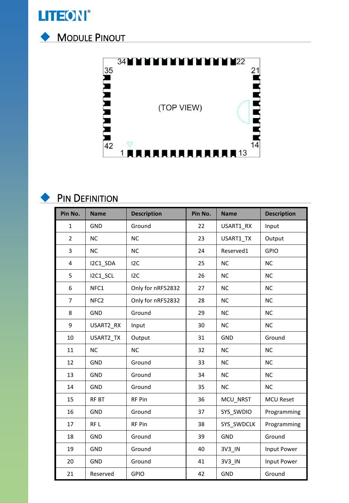

◆ MODULE PINOUT





#### **PIN DEFINITION**

| Pin No.        | <b>Name</b>      | <b>Description</b> | Pin No. | <b>Name</b> | <b>Description</b> |
|----------------|------------------|--------------------|---------|-------------|--------------------|
| $\mathbf{1}$   | <b>GND</b>       | Ground             | 22      | USART1_RX   | Input              |
| $\overline{2}$ | <b>NC</b>        | <b>NC</b>          | 23      | USART1 TX   | Output             |
| 3              | <b>NC</b>        | <b>NC</b>          | 24      | Reserved1   | <b>GPIO</b>        |
| 4              | I2C1_SDA         | 12C                | 25      | <b>NC</b>   | <b>NC</b>          |
| 5              | I2C1_SCL         | 12C                | 26      | <b>NC</b>   | <b>NC</b>          |
| 6              | NFC1             | Only for nRF52832  | 27      | <b>NC</b>   | <b>NC</b>          |
| $\overline{7}$ | NFC <sub>2</sub> | Only for nRF52832  | 28      | <b>NC</b>   | <b>NC</b>          |
| 8              | GND              | Ground             | 29      | <b>NC</b>   | <b>NC</b>          |
| 9              | USART2_RX        | Input              | 30      | <b>NC</b>   | <b>NC</b>          |
| 10             | USART2_TX        | Output             | 31      | <b>GND</b>  | Ground             |
| 11             | <b>NC</b>        | <b>NC</b>          | 32      | <b>NC</b>   | <b>NC</b>          |
| 12             | GND              | Ground             | 33      | <b>NC</b>   | <b>NC</b>          |
| 13             | GND              | Ground             | 34      | <b>NC</b>   | <b>NC</b>          |
| 14             | GND              | Ground             | 35      | <b>NC</b>   | <b>NC</b>          |
| 15             | RF BT            | RF Pin             | 36      | MCU NRST    | <b>MCU Reset</b>   |
| 16             | GND              | Ground             | 37      | SYS SWDIO   | Programming        |
| 17             | RF <sub>L</sub>  | RF Pin             | 38      | SYS SWDCLK  | Programming        |
| 18             | GND              | Ground             | 39      | <b>GND</b>  | Ground             |
| 19             | <b>GND</b>       | Ground             | 40      | 3V3_IN      | Input Power        |
| 20             | GND              | Ground             | 41      | 3V3 IN      | Input Power        |
| 21             | Reserved         | <b>GPIO</b>        | 42      | GND         | Ground             |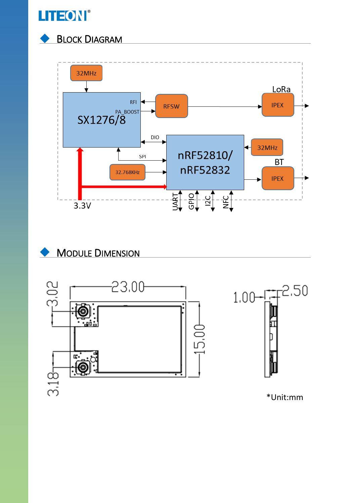

#### **BLOCK DIAGRAM**





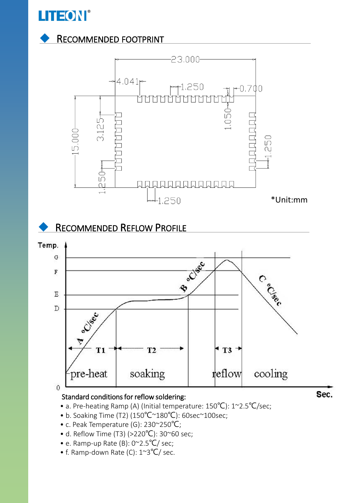

#### **RECOMMENDED FOOTPRINT**



• a. Pre-heating Ramp (A) (Initial temperature: 150℃): 1~2.5℃/sec;

- b. Soaking Time (T2) (150℃~180℃): 60sec~100sec;
- c. Peak Temperature (G): 230~250℃;
- d. Reflow Time (T3) (>220℃): 30~60 sec;
- e. Ramp-up Rate (B): 0~2.5℃/ sec;
- f. Ramp-down Rate (C): 1~3℃/ sec.

Sec.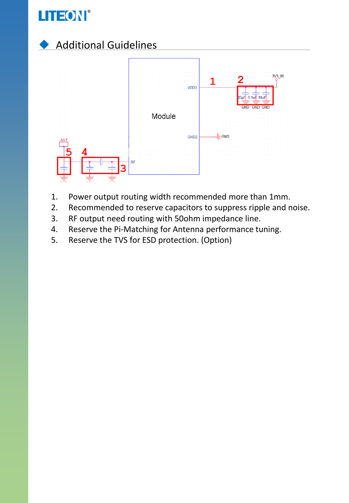



- 1. Power output routing width recommended more than 1mm.
- 2. Recommended to reserve capacitors to suppress ripple and noise.
- 3. RF output need routing with 50ohm impedance line.
- 4. Reserve the Pi-Matching for Antenna performance tuning.
- 5. Reserve the TVS for ESD protection. (Option)